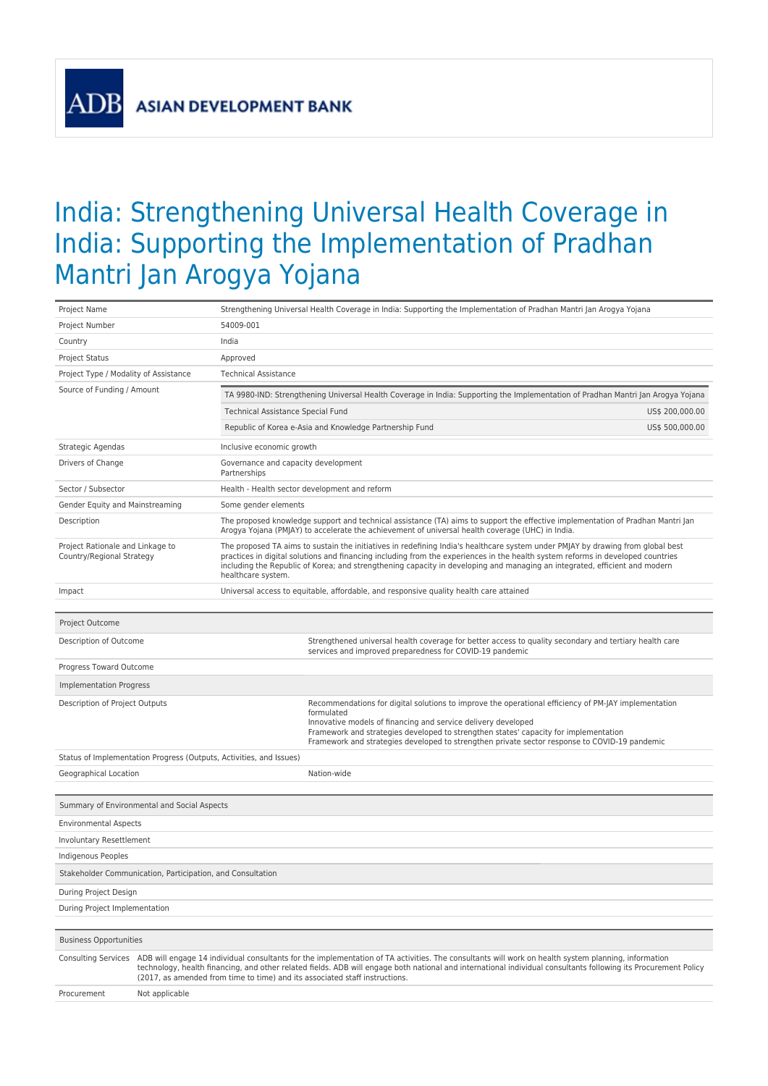**AD** 

## India: Strengthening Universal Health Coverage in India: Supporting the Implementation of Pradhan Mantri Jan Arogya Yojana

| Project Name                                                  |                                                                                                                                                                                                                                                                                                                                                                                                                           |                                                                                                                                                                                                                                                                                                                                                                                                                        | Strengthening Universal Health Coverage in India: Supporting the Implementation of Pradhan Mantri Jan Arogya Yojana                                                                                                                                                                                                                                                          |                 |  |  |  |
|---------------------------------------------------------------|---------------------------------------------------------------------------------------------------------------------------------------------------------------------------------------------------------------------------------------------------------------------------------------------------------------------------------------------------------------------------------------------------------------------------|------------------------------------------------------------------------------------------------------------------------------------------------------------------------------------------------------------------------------------------------------------------------------------------------------------------------------------------------------------------------------------------------------------------------|------------------------------------------------------------------------------------------------------------------------------------------------------------------------------------------------------------------------------------------------------------------------------------------------------------------------------------------------------------------------------|-----------------|--|--|--|
| Project Number                                                |                                                                                                                                                                                                                                                                                                                                                                                                                           | 54009-001                                                                                                                                                                                                                                                                                                                                                                                                              |                                                                                                                                                                                                                                                                                                                                                                              |                 |  |  |  |
| Country                                                       |                                                                                                                                                                                                                                                                                                                                                                                                                           | India                                                                                                                                                                                                                                                                                                                                                                                                                  |                                                                                                                                                                                                                                                                                                                                                                              |                 |  |  |  |
| <b>Project Status</b>                                         |                                                                                                                                                                                                                                                                                                                                                                                                                           | Approved                                                                                                                                                                                                                                                                                                                                                                                                               |                                                                                                                                                                                                                                                                                                                                                                              |                 |  |  |  |
| Project Type / Modality of Assistance                         |                                                                                                                                                                                                                                                                                                                                                                                                                           | <b>Technical Assistance</b>                                                                                                                                                                                                                                                                                                                                                                                            |                                                                                                                                                                                                                                                                                                                                                                              |                 |  |  |  |
| Source of Funding / Amount                                    |                                                                                                                                                                                                                                                                                                                                                                                                                           |                                                                                                                                                                                                                                                                                                                                                                                                                        | TA 9980-IND: Strengthening Universal Health Coverage in India: Supporting the Implementation of Pradhan Mantri Jan Arogya Yojana                                                                                                                                                                                                                                             |                 |  |  |  |
|                                                               |                                                                                                                                                                                                                                                                                                                                                                                                                           | Technical Assistance Special Fund                                                                                                                                                                                                                                                                                                                                                                                      |                                                                                                                                                                                                                                                                                                                                                                              | US\$ 200,000.00 |  |  |  |
|                                                               |                                                                                                                                                                                                                                                                                                                                                                                                                           |                                                                                                                                                                                                                                                                                                                                                                                                                        | Republic of Korea e-Asia and Knowledge Partnership Fund                                                                                                                                                                                                                                                                                                                      | US\$ 500,000.00 |  |  |  |
| Strategic Agendas                                             |                                                                                                                                                                                                                                                                                                                                                                                                                           | Inclusive economic growth                                                                                                                                                                                                                                                                                                                                                                                              |                                                                                                                                                                                                                                                                                                                                                                              |                 |  |  |  |
| Drivers of Change                                             |                                                                                                                                                                                                                                                                                                                                                                                                                           | Governance and capacity development<br>Partnerships                                                                                                                                                                                                                                                                                                                                                                    |                                                                                                                                                                                                                                                                                                                                                                              |                 |  |  |  |
| Sector / Subsector                                            |                                                                                                                                                                                                                                                                                                                                                                                                                           |                                                                                                                                                                                                                                                                                                                                                                                                                        | Health - Health sector development and reform                                                                                                                                                                                                                                                                                                                                |                 |  |  |  |
| Gender Equity and Mainstreaming                               |                                                                                                                                                                                                                                                                                                                                                                                                                           | Some gender elements                                                                                                                                                                                                                                                                                                                                                                                                   |                                                                                                                                                                                                                                                                                                                                                                              |                 |  |  |  |
| Description                                                   |                                                                                                                                                                                                                                                                                                                                                                                                                           | The proposed knowledge support and technical assistance (TA) aims to support the effective implementation of Pradhan Mantri Jan<br>Arogya Yojana (PMJAY) to accelerate the achievement of universal health coverage (UHC) in India.                                                                                                                                                                                    |                                                                                                                                                                                                                                                                                                                                                                              |                 |  |  |  |
| Project Rationale and Linkage to<br>Country/Regional Strategy |                                                                                                                                                                                                                                                                                                                                                                                                                           | The proposed TA aims to sustain the initiatives in redefining India's healthcare system under PMJAY by drawing from global best<br>practices in digital solutions and financing including from the experiences in the health system reforms in developed countries<br>including the Republic of Korea; and strengthening capacity in developing and managing an integrated, efficient and modern<br>healthcare system. |                                                                                                                                                                                                                                                                                                                                                                              |                 |  |  |  |
| Impact                                                        |                                                                                                                                                                                                                                                                                                                                                                                                                           |                                                                                                                                                                                                                                                                                                                                                                                                                        | Universal access to equitable, affordable, and responsive quality health care attained                                                                                                                                                                                                                                                                                       |                 |  |  |  |
|                                                               |                                                                                                                                                                                                                                                                                                                                                                                                                           |                                                                                                                                                                                                                                                                                                                                                                                                                        |                                                                                                                                                                                                                                                                                                                                                                              |                 |  |  |  |
| Project Outcome                                               |                                                                                                                                                                                                                                                                                                                                                                                                                           |                                                                                                                                                                                                                                                                                                                                                                                                                        |                                                                                                                                                                                                                                                                                                                                                                              |                 |  |  |  |
| Description of Outcome                                        |                                                                                                                                                                                                                                                                                                                                                                                                                           |                                                                                                                                                                                                                                                                                                                                                                                                                        | Strengthened universal health coverage for better access to quality secondary and tertiary health care<br>services and improved preparedness for COVID-19 pandemic                                                                                                                                                                                                           |                 |  |  |  |
| Progress Toward Outcome                                       |                                                                                                                                                                                                                                                                                                                                                                                                                           |                                                                                                                                                                                                                                                                                                                                                                                                                        |                                                                                                                                                                                                                                                                                                                                                                              |                 |  |  |  |
| <b>Implementation Progress</b>                                |                                                                                                                                                                                                                                                                                                                                                                                                                           |                                                                                                                                                                                                                                                                                                                                                                                                                        |                                                                                                                                                                                                                                                                                                                                                                              |                 |  |  |  |
| Description of Project Outputs                                |                                                                                                                                                                                                                                                                                                                                                                                                                           |                                                                                                                                                                                                                                                                                                                                                                                                                        | Recommendations for digital solutions to improve the operational efficiency of PM-JAY implementation<br>formulated<br>Innovative models of financing and service delivery developed<br>Framework and strategies developed to strengthen states' capacity for implementation<br>Framework and strategies developed to strengthen private sector response to COVID-19 pandemic |                 |  |  |  |
|                                                               |                                                                                                                                                                                                                                                                                                                                                                                                                           | Status of Implementation Progress (Outputs, Activities, and Issues)                                                                                                                                                                                                                                                                                                                                                    |                                                                                                                                                                                                                                                                                                                                                                              |                 |  |  |  |
| Geographical Location                                         |                                                                                                                                                                                                                                                                                                                                                                                                                           |                                                                                                                                                                                                                                                                                                                                                                                                                        | Nation-wide                                                                                                                                                                                                                                                                                                                                                                  |                 |  |  |  |
|                                                               |                                                                                                                                                                                                                                                                                                                                                                                                                           |                                                                                                                                                                                                                                                                                                                                                                                                                        |                                                                                                                                                                                                                                                                                                                                                                              |                 |  |  |  |
|                                                               | Summary of Environmental and Social Aspects                                                                                                                                                                                                                                                                                                                                                                               |                                                                                                                                                                                                                                                                                                                                                                                                                        |                                                                                                                                                                                                                                                                                                                                                                              |                 |  |  |  |
| <b>Environmental Aspects</b>                                  |                                                                                                                                                                                                                                                                                                                                                                                                                           |                                                                                                                                                                                                                                                                                                                                                                                                                        |                                                                                                                                                                                                                                                                                                                                                                              |                 |  |  |  |
| Involuntary Resettlement                                      |                                                                                                                                                                                                                                                                                                                                                                                                                           |                                                                                                                                                                                                                                                                                                                                                                                                                        |                                                                                                                                                                                                                                                                                                                                                                              |                 |  |  |  |
| Indigenous Peoples                                            |                                                                                                                                                                                                                                                                                                                                                                                                                           |                                                                                                                                                                                                                                                                                                                                                                                                                        |                                                                                                                                                                                                                                                                                                                                                                              |                 |  |  |  |
| Stakeholder Communication, Participation, and Consultation    |                                                                                                                                                                                                                                                                                                                                                                                                                           |                                                                                                                                                                                                                                                                                                                                                                                                                        |                                                                                                                                                                                                                                                                                                                                                                              |                 |  |  |  |
| During Project Design                                         |                                                                                                                                                                                                                                                                                                                                                                                                                           |                                                                                                                                                                                                                                                                                                                                                                                                                        |                                                                                                                                                                                                                                                                                                                                                                              |                 |  |  |  |
| During Project Implementation                                 |                                                                                                                                                                                                                                                                                                                                                                                                                           |                                                                                                                                                                                                                                                                                                                                                                                                                        |                                                                                                                                                                                                                                                                                                                                                                              |                 |  |  |  |
|                                                               |                                                                                                                                                                                                                                                                                                                                                                                                                           |                                                                                                                                                                                                                                                                                                                                                                                                                        |                                                                                                                                                                                                                                                                                                                                                                              |                 |  |  |  |
| <b>Business Opportunities</b>                                 |                                                                                                                                                                                                                                                                                                                                                                                                                           |                                                                                                                                                                                                                                                                                                                                                                                                                        |                                                                                                                                                                                                                                                                                                                                                                              |                 |  |  |  |
|                                                               | Consulting Services ADB will engage 14 individual consultants for the implementation of TA activities. The consultants will work on health system planning, information<br>technology, health financing, and other related fields. ADB will engage both national and international individual consultants following its Procurement Policy<br>(2017, as amended from time to time) and its associated staff instructions. |                                                                                                                                                                                                                                                                                                                                                                                                                        |                                                                                                                                                                                                                                                                                                                                                                              |                 |  |  |  |
| Procurement                                                   | Not applicable                                                                                                                                                                                                                                                                                                                                                                                                            |                                                                                                                                                                                                                                                                                                                                                                                                                        |                                                                                                                                                                                                                                                                                                                                                                              |                 |  |  |  |
|                                                               |                                                                                                                                                                                                                                                                                                                                                                                                                           |                                                                                                                                                                                                                                                                                                                                                                                                                        |                                                                                                                                                                                                                                                                                                                                                                              |                 |  |  |  |